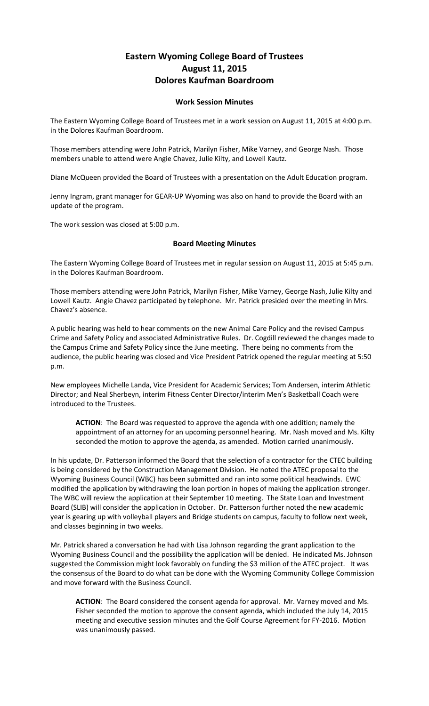## **Eastern Wyoming College Board of Trustees August 11, 2015 Dolores Kaufman Boardroom**

## **Work Session Minutes**

The Eastern Wyoming College Board of Trustees met in a work session on August 11, 2015 at 4:00 p.m. in the Dolores Kaufman Boardroom.

Those members attending were John Patrick, Marilyn Fisher, Mike Varney, and George Nash. Those members unable to attend were Angie Chavez, Julie Kilty, and Lowell Kautz.

Diane McQueen provided the Board of Trustees with a presentation on the Adult Education program.

Jenny Ingram, grant manager for GEAR-UP Wyoming was also on hand to provide the Board with an update of the program.

The work session was closed at 5:00 p.m.

## **Board Meeting Minutes**

The Eastern Wyoming College Board of Trustees met in regular session on August 11, 2015 at 5:45 p.m. in the Dolores Kaufman Boardroom.

Those members attending were John Patrick, Marilyn Fisher, Mike Varney, George Nash, Julie Kilty and Lowell Kautz. Angie Chavez participated by telephone. Mr. Patrick presided over the meeting in Mrs. Chavez's absence.

A public hearing was held to hear comments on the new Animal Care Policy and the revised Campus Crime and Safety Policy and associated Administrative Rules. Dr. Cogdill reviewed the changes made to the Campus Crime and Safety Policy since the June meeting. There being no comments from the audience, the public hearing was closed and Vice President Patrick opened the regular meeting at 5:50 p.m.

New employees Michelle Landa, Vice President for Academic Services; Tom Andersen, interim Athletic Director; and Neal Sherbeyn, interim Fitness Center Director/interim Men's Basketball Coach were introduced to the Trustees.

**ACTION**: The Board was requested to approve the agenda with one addition; namely the appointment of an attorney for an upcoming personnel hearing. Mr. Nash moved and Ms. Kilty seconded the motion to approve the agenda, as amended. Motion carried unanimously.

In his update, Dr. Patterson informed the Board that the selection of a contractor for the CTEC building is being considered by the Construction Management Division. He noted the ATEC proposal to the Wyoming Business Council (WBC) has been submitted and ran into some political headwinds. EWC modified the application by withdrawing the loan portion in hopes of making the application stronger. The WBC will review the application at their September 10 meeting. The State Loan and Investment Board (SLIB) will consider the application in October. Dr. Patterson further noted the new academic year is gearing up with volleyball players and Bridge students on campus, faculty to follow next week, and classes beginning in two weeks.

Mr. Patrick shared a conversation he had with Lisa Johnson regarding the grant application to the Wyoming Business Council and the possibility the application will be denied. He indicated Ms. Johnson suggested the Commission might look favorably on funding the \$3 million of the ATEC project. It was the consensus of the Board to do what can be done with the Wyoming Community College Commission and move forward with the Business Council.

**ACTION**: The Board considered the consent agenda for approval. Mr. Varney moved and Ms. Fisher seconded the motion to approve the consent agenda, which included the July 14, 2015 meeting and executive session minutes and the Golf Course Agreement for FY-2016. Motion was unanimously passed.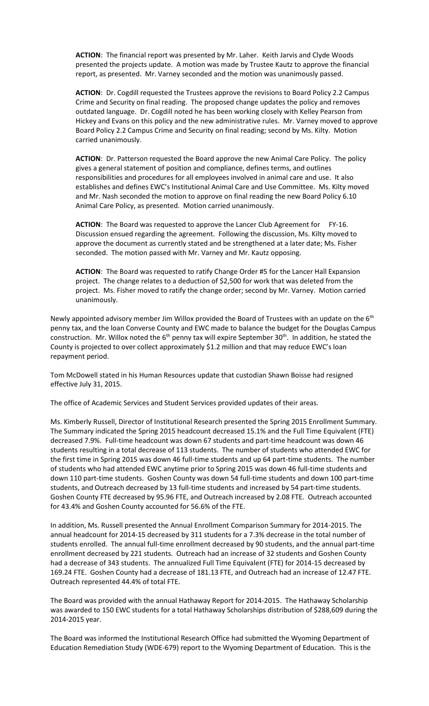**ACTION**: The financial report was presented by Mr. Laher. Keith Jarvis and Clyde Woods presented the projects update. A motion was made by Trustee Kautz to approve the financial report, as presented. Mr. Varney seconded and the motion was unanimously passed.

**ACTION**: Dr. Cogdill requested the Trustees approve the revisions to Board Policy 2.2 Campus Crime and Security on final reading. The proposed change updates the policy and removes outdated language. Dr. Cogdill noted he has been working closely with Kelley Pearson from Hickey and Evans on this policy and the new administrative rules. Mr. Varney moved to approve Board Policy 2.2 Campus Crime and Security on final reading; second by Ms. Kilty. Motion carried unanimously.

**ACTION**: Dr. Patterson requested the Board approve the new Animal Care Policy. The policy gives a general statement of position and compliance, defines terms, and outlines responsibilities and procedures for all employees involved in animal care and use. It also establishes and defines EWC's Institutional Animal Care and Use Committee. Ms. Kilty moved and Mr. Nash seconded the motion to approve on final reading the new Board Policy 6.10 Animal Care Policy, as presented. Motion carried unanimously.

ACTION: The Board was requested to approve the Lancer Club Agreement for FY-16. Discussion ensued regarding the agreement. Following the discussion, Ms. Kilty moved to approve the document as currently stated and be strengthened at a later date; Ms. Fisher seconded. The motion passed with Mr. Varney and Mr. Kautz opposing.

**ACTION**: The Board was requested to ratify Change Order #5 for the Lancer Hall Expansion project. The change relates to a deduction of \$2,500 for work that was deleted from the project. Ms. Fisher moved to ratify the change order; second by Mr. Varney. Motion carried unanimously.

Newly appointed advisory member Jim Willox provided the Board of Trustees with an update on the 6<sup>th</sup> penny tax, and the loan Converse County and EWC made to balance the budget for the Douglas Campus construction. Mr. Willox noted the  $6<sup>th</sup>$  penny tax will expire September 30<sup>th</sup>. In addition, he stated the County is projected to over collect approximately \$1.2 million and that may reduce EWC's loan repayment period.

Tom McDowell stated in his Human Resources update that custodian Shawn Boisse had resigned effective July 31, 2015.

The office of Academic Services and Student Services provided updates of their areas.

Ms. Kimberly Russell, Director of Institutional Research presented the Spring 2015 Enrollment Summary. The Summary indicated the Spring 2015 headcount decreased 15.1% and the Full Time Equivalent (FTE) decreased 7.9%. Full-time headcount was down 67 students and part-time headcount was down 46 students resulting in a total decrease of 113 students. The number of students who attended EWC for the first time in Spring 2015 was down 46 full-time students and up 64 part-time students. The number of students who had attended EWC anytime prior to Spring 2015 was down 46 full-time students and down 110 part-time students. Goshen County was down 54 full-time students and down 100 part-time students, and Outreach decreased by 13 full-time students and increased by 54 part-time students. Goshen County FTE decreased by 95.96 FTE, and Outreach increased by 2.08 FTE. Outreach accounted for 43.4% and Goshen County accounted for 56.6% of the FTE.

In addition, Ms. Russell presented the Annual Enrollment Comparison Summary for 2014-2015. The annual headcount for 2014-15 decreased by 311 students for a 7.3% decrease in the total number of students enrolled. The annual full-time enrollment decreased by 90 students, and the annual part-time enrollment decreased by 221 students. Outreach had an increase of 32 students and Goshen County had a decrease of 343 students. The annualized Full Time Equivalent (FTE) for 2014-15 decreased by 169.24 FTE. Goshen County had a decrease of 181.13 FTE, and Outreach had an increase of 12.47 FTE. Outreach represented 44.4% of total FTE.

The Board was provided with the annual Hathaway Report for 2014-2015. The Hathaway Scholarship was awarded to 150 EWC students for a total Hathaway Scholarships distribution of \$288,609 during the 2014-2015 year.

The Board was informed the Institutional Research Office had submitted the Wyoming Department of Education Remediation Study (WDE-679) report to the Wyoming Department of Education. This is the